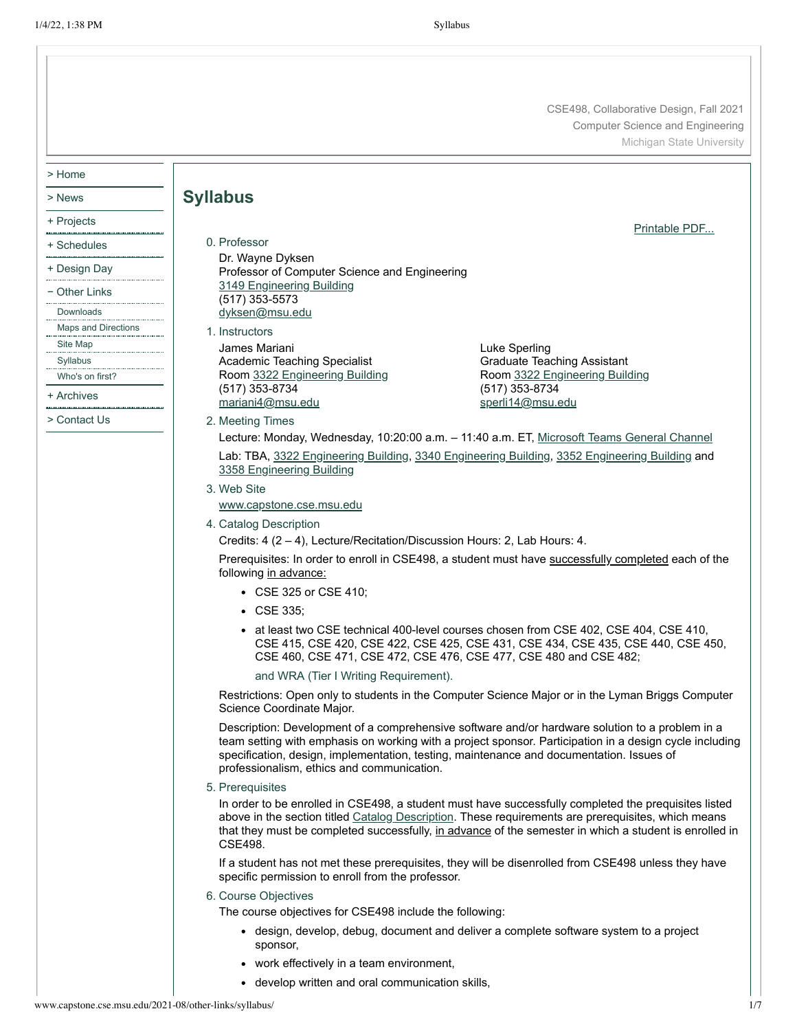CSE498, Collaborative Design, Fall 2021 Computer Science and Engineering Michigan State University

[Printable](http://www.capstone.cse.msu.edu/2021-08/other-links/syllabus/syllabus.pdf) PDF...

> Home

- > News
- + Projects
- + Schedules
- + Design Day
- − Other Links
- [Downloads](http://www.capstone.cse.msu.edu/2021-08/other-links/downloads)
- [Maps and Directions](http://www.capstone.cse.msu.edu/2021-08/other-links/maps-and-directions)
- [Site Map](http://www.capstone.cse.msu.edu/2021-08/other-links/site-map)
- [Syllabus](http://www.capstone.cse.msu.edu/2021-08/other-links/syllabus)
- [Who's on first?](http://www.capstone.cse.msu.edu/2021-08/other-links/whos-on-first)
- + Archives
- > Contact Us
- 0. Professor Dr. Wayne Dyksen Professor of Computer Science and Engineering 3149 [Engineering](http://www.capstone.cse.msu.edu/2021-08/other-links/maps-and-directions/engineering-building/?room=3149) Building (517) 353-5573 [dyksen@msu.edu](mailto:dyksen@msu.edu)
- 1. Instructors

**Syllabus**

- James Mariani Academic Teaching Specialist Room 3322 [Engineering](http://www.capstone.cse.msu.edu/2021-08/other-links/maps-and-directions/engineering-building/?room=3322) Building (517) 353-8734 [mariani4@msu.edu](mailto:mariani4@msu.edu)
- Luke Sperling Graduate Teaching Assistant Room 3322 [Engineering](http://www.capstone.cse.msu.edu/2021-08/other-links/maps-and-directions/engineering-building/?room=3322) Building (517) 353-8734 [sperli14@msu.edu](mailto:sperli14@msu.edu)

- 2. Meeting Times
	- Lecture: Monday, Wednesday, 10:20:00 a.m. 11:40 a.m. ET, Microsoft Teams [General Channel](https://teams.microsoft.com/l/channel/19%3advOVkKT4oQjBx0Gv0FABCvNoxbbPla0ZAY5NoX6gQsA1%40thread.tacv2/General?groupId=a83fe06a-213d-425a-bd48-957d598f8896&tenantId=22177130-642f-41d9-9211-74237ad5687d)

Lab: TBA, 3322 [Engineering](http://www.capstone.cse.msu.edu/2021-08/other-links/maps-and-directions/engineering-building/?room=3322) Building, 3340 [Engineering](http://www.capstone.cse.msu.edu/2021-08/other-links/maps-and-directions/engineering-building/?room=3340) Building, 3352 [Engineering](http://www.capstone.cse.msu.edu/2021-08/other-links/maps-and-directions/engineering-building/?room=3352) Building and 3358 [Engineering](http://www.capstone.cse.msu.edu/2021-08/other-links/maps-and-directions/engineering-building/?room=3358) Building

3. Web Site

[www.capstone.cse.msu.edu](http://www.capstone.cse.msu.edu/)

<span id="page-0-0"></span>4. Catalog Description

Credits: 4 (2 – 4), Lecture/Recitation/Discussion Hours: 2, Lab Hours: 4.

Prerequisites: In order to enroll in CSE498, a student must have successfully completed each of the following in advance:

- CSE 325 or CSE 410;
- CSE 335;
- at least two CSE technical 400-level courses chosen from CSE 402, CSE 404, CSE 410, CSE 415, CSE 420, CSE 422, CSE 425, CSE 431, CSE 434, CSE 435, CSE 440, CSE 450, CSE 460, CSE 471, CSE 472, CSE 476, CSE 477, CSE 480 and CSE 482;

and WRA (Tier I Writing Requirement).

Restrictions: Open only to students in the Computer Science Major or in the Lyman Briggs Computer Science Coordinate Major.

Description: Development of a comprehensive software and/or hardware solution to a problem in a team setting with emphasis on working with a project sponsor. Participation in a design cycle including specification, design, implementation, testing, maintenance and documentation. Issues of professionalism, ethics and communication.

5. Prerequisites

In order to be enrolled in CSE498, a student must have successfully completed the prequisites listed above in the section titled Catalog [Description.](#page-0-0) These requirements are prerequisites, which means that they must be completed successfully, in advance of the semester in which a student is enrolled in CSE498.

If a student has not met these prerequisites, they will be disenrolled from CSE498 unless they have specific permission to enroll from the professor.

6. Course Objectives

The course objectives for CSE498 include the following:

- design, develop, debug, document and deliver a complete software system to a project sponsor,
- work effectively in a team environment,
- develop written and oral communication skills,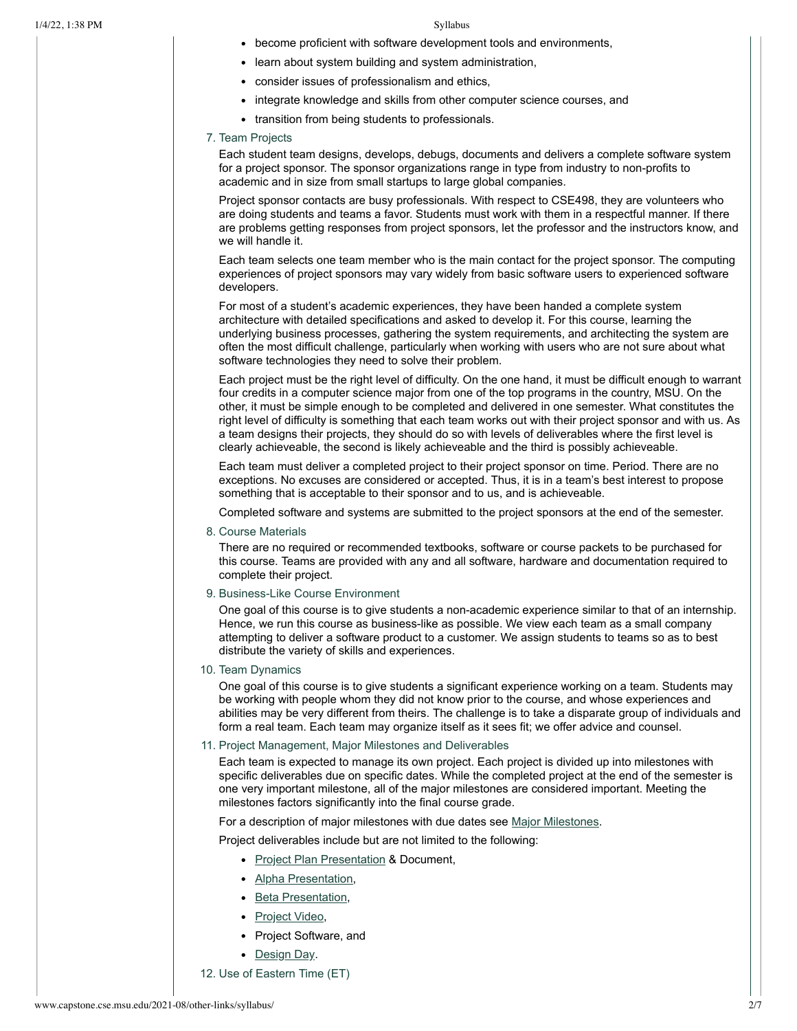- become proficient with software development tools and environments,
- learn about system building and system administration,
- consider issues of professionalism and ethics,
- integrate knowledge and skills from other computer science courses, and
- transition from being students to professionals.

# 7. Team Projects

Each student team designs, develops, debugs, documents and delivers a complete software system for a project sponsor. The sponsor organizations range in type from industry to non-profits to academic and in size from small startups to large global companies.

Project sponsor contacts are busy professionals. With respect to CSE498, they are volunteers who are doing students and teams a favor. Students must work with them in a respectful manner. If there are problems getting responses from project sponsors, let the professor and the instructors know, and we will handle it.

Each team selects one team member who is the main contact for the project sponsor. The computing experiences of project sponsors may vary widely from basic software users to experienced software developers.

For most of a student's academic experiences, they have been handed a complete system architecture with detailed specifications and asked to develop it. For this course, learning the underlying business processes, gathering the system requirements, and architecting the system are often the most difficult challenge, particularly when working with users who are not sure about what software technologies they need to solve their problem.

Each project must be the right level of difficulty. On the one hand, it must be difficult enough to warrant four credits in a computer science major from one of the top programs in the country, MSU. On the other, it must be simple enough to be completed and delivered in one semester. What constitutes the right level of difficulty is something that each team works out with their project sponsor and with us. As a team designs their projects, they should do so with levels of deliverables where the first level is clearly achieveable, the second is likely achieveable and the third is possibly achieveable.

Each team must deliver a completed project to their project sponsor on time. Period. There are no exceptions. No excuses are considered or accepted. Thus, it is in a team's best interest to propose something that is acceptable to their sponsor and to us, and is achieveable.

Completed software and systems are submitted to the project sponsors at the end of the semester.

8. Course Materials

There are no required or recommended textbooks, software or course packets to be purchased for this course. Teams are provided with any and all software, hardware and documentation required to complete their project.

9. Business-Like Course Environment

One goal of this course is to give students a non-academic experience similar to that of an internship. Hence, we run this course as business-like as possible. We view each team as a small company attempting to deliver a software product to a customer. We assign students to teams so as to best distribute the variety of skills and experiences.

10. Team Dynamics

One goal of this course is to give students a significant experience working on a team. Students may be working with people whom they did not know prior to the course, and whose experiences and abilities may be very different from theirs. The challenge is to take a disparate group of individuals and form a real team. Each team may organize itself as it sees fit; we offer advice and counsel.

# 11. Project Management, Major Milestones and Deliverables

Each team is expected to manage its own project. Each project is divided up into milestones with specific deliverables due on specific dates. While the completed project at the end of the semester is one very important milestone, all of the major milestones are considered important. Meeting the milestones factors significantly into the final course grade.

For a description of major milestones with due dates see Major [Milestones](http://www.capstone.cse.msu.edu/2021-08/schedules/major-milestones).

Project deliverables include but are not limited to the following:

- Project Plan [Presentation](http://www.capstone.cse.msu.edu/2021-08/schedules/major-milestones/#project-plan-presentations) & Document,
- Alpha [Presentation](http://www.capstone.cse.msu.edu/2021-08/schedules/major-milestones/#alpha-presentations),
- Beta [Presentation,](http://www.capstone.cse.msu.edu/2021-08/schedules/major-milestones/#beta-presentations)
- [Project](http://www.capstone.cse.msu.edu/2021-08/schedules/major-milestones/#project-videos) Video,
- Project Software, and
- [Design](http://www.capstone.cse.msu.edu/2021-08/schedules/major-milestones/#design-day) Day.
- 12. Use of Eastern Time (ET)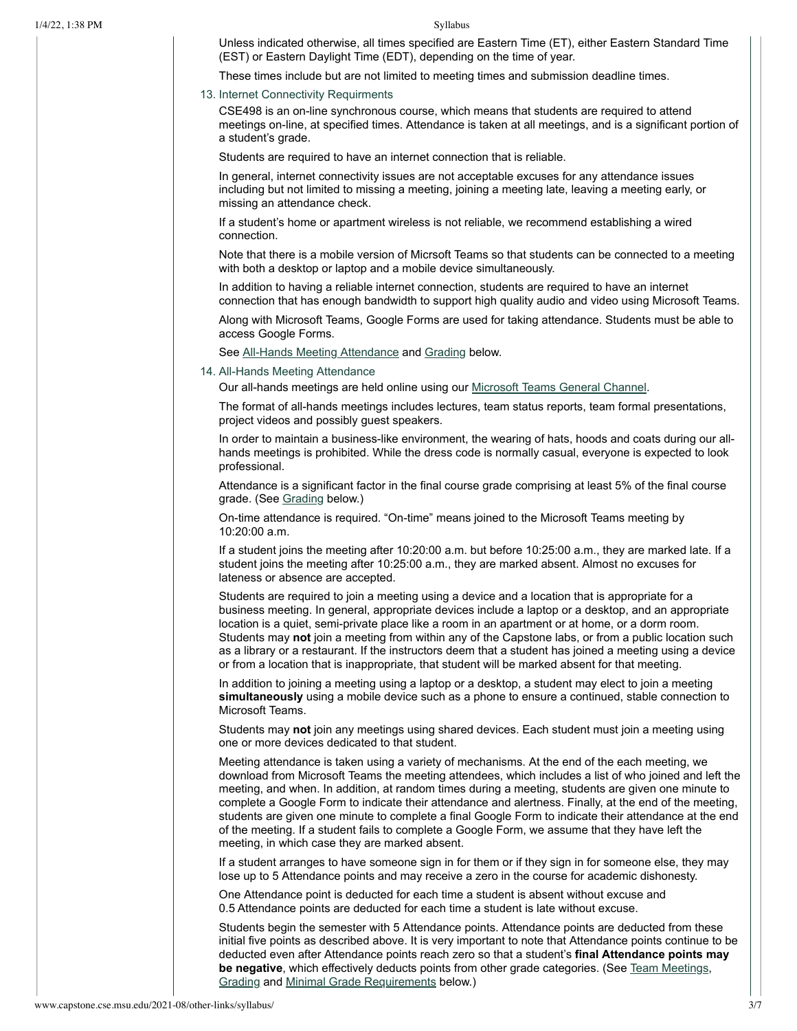Unless indicated otherwise, all times specified are Eastern Time (ET), either Eastern Standard Time (EST) or Eastern Daylight Time (EDT), depending on the time of year.

These times include but are not limited to meeting times and submission deadline times.

### 13. Internet Connectivity Requirments

CSE498 is an on-line synchronous course, which means that students are required to attend meetings on-line, at specified times. Attendance is taken at all meetings, and is a significant portion of a student's grade.

Students are required to have an internet connection that is reliable.

In general, internet connectivity issues are not acceptable excuses for any attendance issues including but not limited to missing a meeting, joining a meeting late, leaving a meeting early, or missing an attendance check.

If a student's home or apartment wireless is not reliable, we recommend establishing a wired connection.

Note that there is a mobile version of Micrsoft Teams so that students can be connected to a meeting with both a desktop or laptop and a mobile device simultaneously.

In addition to having a reliable internet connection, students are required to have an internet connection that has enough bandwidth to support high quality audio and video using Microsoft Teams.

Along with Microsoft Teams, Google Forms are used for taking attendance. Students must be able to access Google Forms.

<span id="page-2-0"></span>See All-Hands Meeting [Attendance](#page-2-0) and [Grading](#page-4-0) below.

# 14. All-Hands Meeting Attendance

Our all-hands meetings are held online using our Microsoft Teams [General Channel.](https://teams.microsoft.com/l/channel/19%3advOVkKT4oQjBx0Gv0FABCvNoxbbPla0ZAY5NoX6gQsA1%40thread.tacv2/General?groupId=a83fe06a-213d-425a-bd48-957d598f8896&tenantId=22177130-642f-41d9-9211-74237ad5687d)

The format of all-hands meetings includes lectures, team status reports, team formal presentations, project videos and possibly guest speakers.

In order to maintain a business-like environment, the wearing of hats, hoods and coats during our allhands meetings is prohibited. While the dress code is normally casual, everyone is expected to look professional.

Attendance is a significant factor in the final course grade comprising at least 5% of the final course grade. (See [Grading](#page-4-0) below.)

On-time attendance is required. "On-time" means joined to the Microsoft Teams meeting by 10:20:00 a.m.

If a student joins the meeting after 10:20:00 a.m. but before 10:25:00 a.m., they are marked late. If a student joins the meeting after 10:25:00 a.m., they are marked absent. Almost no excuses for lateness or absence are accepted.

Students are required to join a meeting using a device and a location that is appropriate for a business meeting. In general, appropriate devices include a laptop or a desktop, and an appropriate location is a quiet, semi-private place like a room in an apartment or at home, or a dorm room. Students may **not** join a meeting from within any of the Capstone labs, or from a public location such as a library or a restaurant. If the instructors deem that a student has joined a meeting using a device or from a location that is inappropriate, that student will be marked absent for that meeting.

In addition to joining a meeting using a laptop or a desktop, a student may elect to join a meeting **simultaneously** using a mobile device such as a phone to ensure a continued, stable connection to Microsoft Teams.

Students may **not** join any meetings using shared devices. Each student must join a meeting using one or more devices dedicated to that student.

Meeting attendance is taken using a variety of mechanisms. At the end of the each meeting, we download from Microsoft Teams the meeting attendees, which includes a list of who joined and left the meeting, and when. In addition, at random times during a meeting, students are given one minute to complete a Google Form to indicate their attendance and alertness. Finally, at the end of the meeting, students are given one minute to complete a final Google Form to indicate their attendance at the end of the meeting. If a student fails to complete a Google Form, we assume that they have left the meeting, in which case they are marked absent.

If a student arranges to have someone sign in for them or if they sign in for someone else, they may lose up to 5 Attendance points and may receive a zero in the course for academic dishonesty.

One Attendance point is deducted for each time a student is absent without excuse and 0.5 Attendance points are deducted for each time a student is late without excuse.

Students begin the semester with 5 Attendance points. Attendance points are deducted from these initial five points as described above. It is very important to note that Attendance points continue to be deducted even after Attendance points reach zero so that a student's **final Attendance points may be negative**, which effectively deducts points from other grade categories. (See Team [Meetings,](#page-3-0) [Grading](#page-4-0) and [Minimal Grade](#page-5-0) Requirements below.)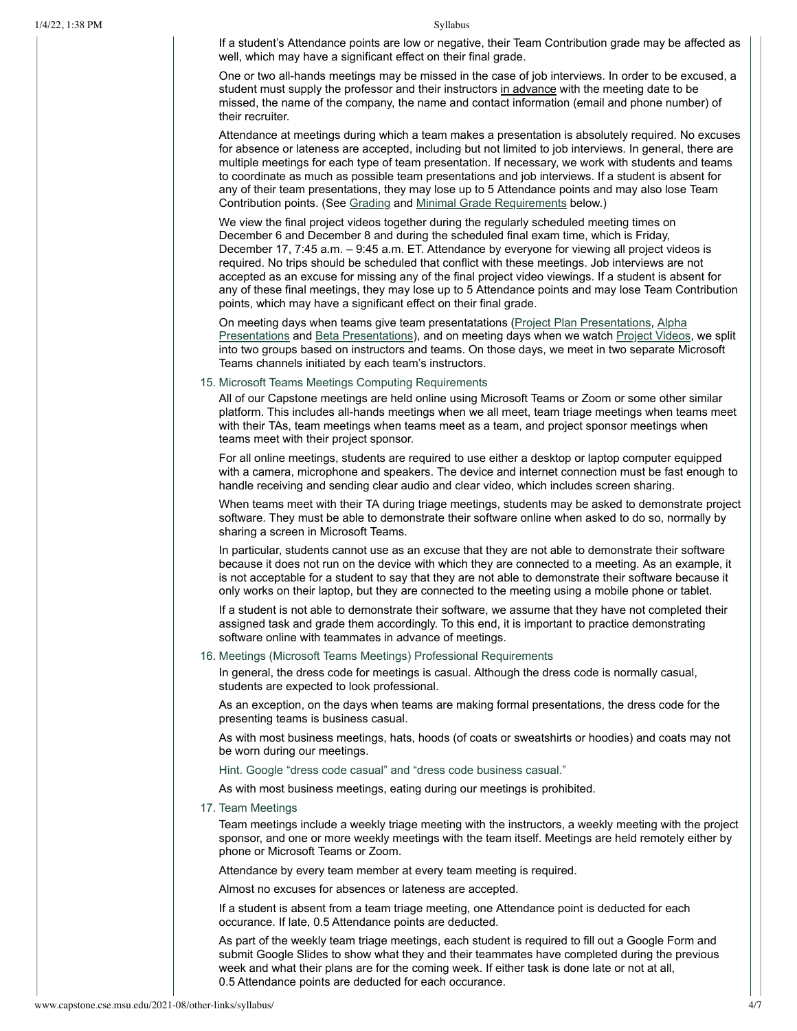If a student's Attendance points are low or negative, their Team Contribution grade may be affected as well, which may have a significant effect on their final grade.

One or two all-hands meetings may be missed in the case of job interviews. In order to be excused, a student must supply the professor and their instructors in advance with the meeting date to be missed, the name of the company, the name and contact information (email and phone number) of their recruiter.

Attendance at meetings during which a team makes a presentation is absolutely required. No excuses for absence or lateness are accepted, including but not limited to job interviews. In general, there are multiple meetings for each type of team presentation. If necessary, we work with students and teams to coordinate as much as possible team presentations and job interviews. If a student is absent for any of their team presentations, they may lose up to 5 Attendance points and may also lose Team Contribution points. (See [Grading](#page-4-0) and [Minimal Grade](#page-5-0) Requirements below.)

We view the final project videos together during the regularly scheduled meeting times on December 6 and December 8 and during the scheduled final exam time, which is Friday, December 17, 7:45 a.m. – 9:45 a.m. ET. Attendance by everyone for viewing all project videos is required. No trips should be scheduled that conflict with these meetings. Job interviews are not accepted as an excuse for missing any of the final project video viewings. If a student is absent for any of these final meetings, they may lose up to 5 Attendance points and may lose Team Contribution points, which may have a significant effect on their final grade.

On meeting days when teams give team [presentatations](http://www.capstone.cse.msu.edu/2021-08/schedules/major-milestones/#alpha-presentations) (Project Plan [Presentations](http://www.capstone.cse.msu.edu/2021-08/schedules/major-milestones/#project-plan-presentations), Alpha Presentations and Beta [Presentations\)](http://www.capstone.cse.msu.edu/2021-08/schedules/major-milestones/#beta-presentations), and on meeting days when we watch [Project](http://www.capstone.cse.msu.edu/2021-08/schedules/major-milestones/#project-videos) Videos, we split into two groups based on instructors and teams. On those days, we meet in two separate Microsoft Teams channels initiated by each team's instructors.

### 15. Microsoft Teams Meetings Computing Requirements

All of our Capstone meetings are held online using Microsoft Teams or Zoom or some other similar platform. This includes all-hands meetings when we all meet, team triage meetings when teams meet with their TAs, team meetings when teams meet as a team, and project sponsor meetings when teams meet with their project sponsor.

For all online meetings, students are required to use either a desktop or laptop computer equipped with a camera, microphone and speakers. The device and internet connection must be fast enough to handle receiving and sending clear audio and clear video, which includes screen sharing.

When teams meet with their TA during triage meetings, students may be asked to demonstrate project software. They must be able to demonstrate their software online when asked to do so, normally by sharing a screen in Microsoft Teams.

In particular, students cannot use as an excuse that they are not able to demonstrate their software because it does not run on the device with which they are connected to a meeting. As an example, it is not acceptable for a student to say that they are not able to demonstrate their software because it only works on their laptop, but they are connected to the meeting using a mobile phone or tablet.

If a student is not able to demonstrate their software, we assume that they have not completed their assigned task and grade them accordingly. To this end, it is important to practice demonstrating software online with teammates in advance of meetings.

### 16. Meetings (Microsoft Teams Meetings) Professional Requirements

In general, the dress code for meetings is casual. Although the dress code is normally casual, students are expected to look professional.

As an exception, on the days when teams are making formal presentations, the dress code for the presenting teams is business casual.

As with most business meetings, hats, hoods (of coats or sweatshirts or hoodies) and coats may not be worn during our meetings.

Hint. Google "dress code casual" and "dress code business casual."

As with most business meetings, eating during our meetings is prohibited.

17. Team Meetings

<span id="page-3-0"></span>Team meetings include a weekly triage meeting with the instructors, a weekly meeting with the project sponsor, and one or more weekly meetings with the team itself. Meetings are held remotely either by phone or Microsoft Teams or Zoom.

Attendance by every team member at every team meeting is required.

Almost no excuses for absences or lateness are accepted.

If a student is absent from a team triage meeting, one Attendance point is deducted for each occurance. If late, 0.5 Attendance points are deducted.

As part of the weekly team triage meetings, each student is required to fill out a Google Form and submit Google Slides to show what they and their teammates have completed during the previous week and what their plans are for the coming week. If either task is done late or not at all, 0.5 Attendance points are deducted for each occurance.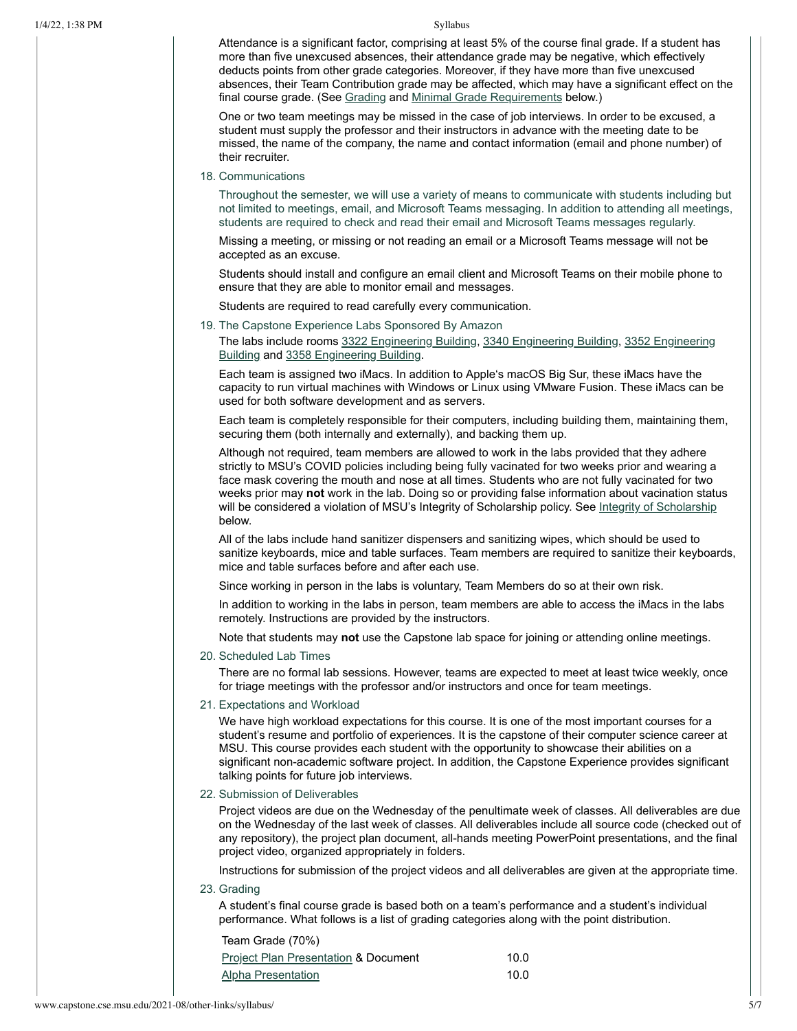Attendance is a significant factor, comprising at least 5% of the course final grade. If a student has more than five unexcused absences, their attendance grade may be negative, which effectively deducts points from other grade categories. Moreover, if they have more than five unexcused absences, their Team Contribution grade may be affected, which may have a significant effect on the final course grade. (See [Grading](#page-4-0) and [Minimal Grade](#page-5-0) Requirements below.)

One or two team meetings may be missed in the case of job interviews. In order to be excused, a student must supply the professor and their instructors in advance with the meeting date to be missed, the name of the company, the name and contact information (email and phone number) of their recruiter.

# 18. Communications

Throughout the semester, we will use a variety of means to communicate with students including but not limited to meetings, email, and Microsoft Teams messaging. In addition to attending all meetings, students are required to check and read their email and Microsoft Teams messages regularly.

Missing a meeting, or missing or not reading an email or a Microsoft Teams message will not be accepted as an excuse.

Students should install and configure an email client and Microsoft Teams on their mobile phone to ensure that they are able to monitor email and messages.

Students are required to read carefully every communication.

19. The Capstone Experience Labs Sponsored By Amazon

The labs include rooms 3322 [Engineering](http://www.capstone.cse.msu.edu/2021-08/other-links/maps-and-directions/engineering-building/?room=3322) Building, 3340 [Engineering](http://www.capstone.cse.msu.edu/2021-08/other-links/maps-and-directions/engineering-building/?room=3340) Building, 3352 Engineering Building and 3358 [Engineering](http://www.capstone.cse.msu.edu/2021-08/other-links/maps-and-directions/engineering-building/?room=3358) Building.

Each team is assigned two iMacs. In addition to Apple's macOS Big Sur, these iMacs have the capacity to run virtual machines with Windows or Linux using VMware Fusion. These iMacs can be used for both software development and as servers.

Each team is completely responsible for their computers, including building them, maintaining them, securing them (both internally and externally), and backing them up.

Although not required, team members are allowed to work in the labs provided that they adhere strictly to MSU's COVID policies including being fully vacinated for two weeks prior and wearing a face mask covering the mouth and nose at all times. Students who are not fully vacinated for two weeks prior may **not** work in the lab. Doing so or providing false information about vacination status will be considered a violation of MSU's Integrity of [Scholarship](#page-6-0) policy. See Integrity of Scholarship below.

All of the labs include hand sanitizer dispensers and sanitizing wipes, which should be used to sanitize keyboards, mice and table surfaces. Team members are required to sanitize their keyboards, mice and table surfaces before and after each use.

Since working in person in the labs is voluntary, Team Members do so at their own risk.

In addition to working in the labs in person, team members are able to access the iMacs in the labs remotely. Instructions are provided by the instructors.

Note that students may **not** use the Capstone lab space for joining or attending online meetings.

20. Scheduled Lab Times

There are no formal lab sessions. However, teams are expected to meet at least twice weekly, once for triage meetings with the professor and/or instructors and once for team meetings.

21. Expectations and Workload

We have high workload expectations for this course. It is one of the most important courses for a student's resume and portfolio of experiences. It is the capstone of their computer science career at MSU. This course provides each student with the opportunity to showcase their abilities on a significant non-academic software project. In addition, the Capstone Experience provides significant talking points for future job interviews.

22. Submission of Deliverables

Project videos are due on the Wednesday of the penultimate week of classes. All deliverables are due on the Wednesday of the last week of classes. All deliverables include all source code (checked out of any repository), the project plan document, all-hands meeting PowerPoint presentations, and the final project video, organized appropriately in folders.

<span id="page-4-0"></span>Instructions for submission of the project videos and all deliverables are given at the appropriate time.

23. Grading

A student's final course grade is based both on a team's performance and a student's individual performance. What follows is a list of grading categories along with the point distribution.

| Team Grade (70%)                                |      |
|-------------------------------------------------|------|
| <b>Project Plan Presentation &amp; Document</b> | 10.0 |
| <b>Alpha Presentation</b>                       | 10.0 |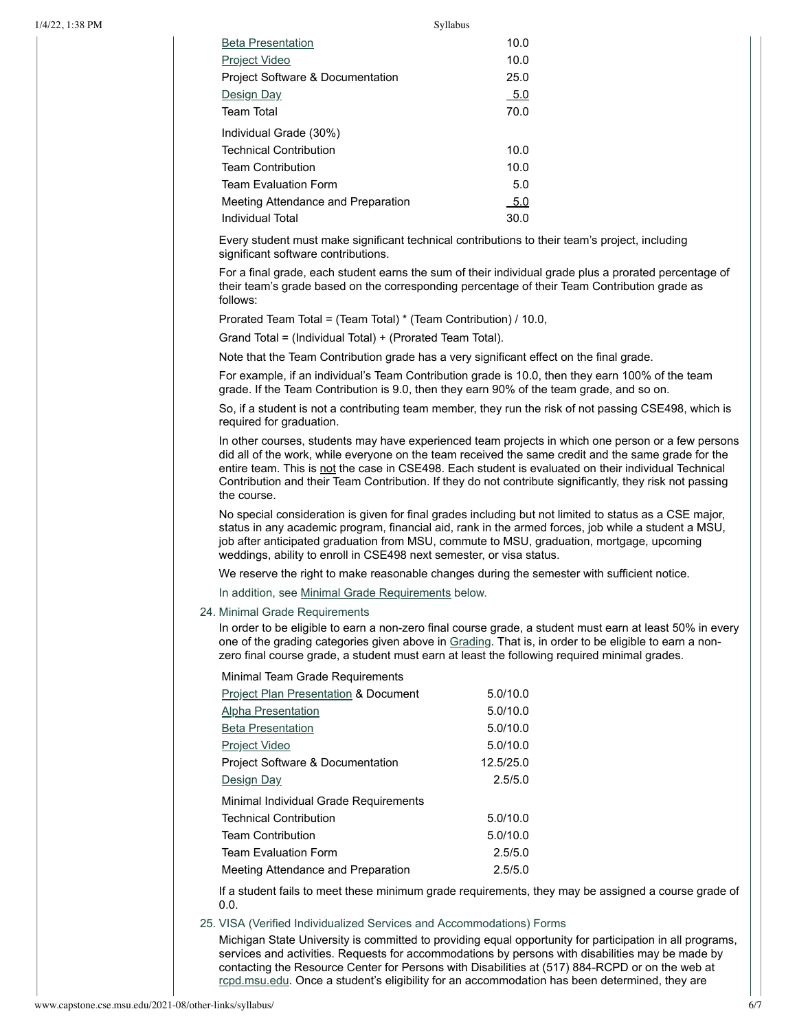| <b>Bela Presentation</b>           | 10.U  |
|------------------------------------|-------|
| <b>Project Video</b>               | 10.0  |
| Project Software & Documentation   | 25.0  |
| Design Day                         | - 5.0 |
| <b>Team Total</b>                  | 70.0  |
| Individual Grade (30%)             |       |
| <b>Technical Contribution</b>      | 10.0  |
| <b>Team Contribution</b>           | 10.0  |
| <b>Team Evaluation Form</b>        | 5.0   |
| Meeting Attendance and Preparation | 5.0   |
| Individual Total                   | 30.0  |
|                                    |       |

Beta [Presentation](http://www.capstone.cse.msu.edu/2021-08/schedules/major-milestones/#beta-presentations) 10.0

Every student must make significant technical contributions to their team's project, including significant software contributions.

For a final grade, each student earns the sum of their individual grade plus a prorated percentage of their team's grade based on the corresponding percentage of their Team Contribution grade as follows:

Prorated Team Total = (Team Total) \* (Team Contribution) / 10.0,

Grand Total = (Individual Total) + (Prorated Team Total).

Note that the Team Contribution grade has a very significant effect on the final grade.

For example, if an individual's Team Contribution grade is 10.0, then they earn 100% of the team grade. If the Team Contribution is 9.0, then they earn 90% of the team grade, and so on.

So, if a student is not a contributing team member, they run the risk of not passing CSE498, which is required for graduation.

In other courses, students may have experienced team projects in which one person or a few persons did all of the work, while everyone on the team received the same credit and the same grade for the entire team. This is not the case in CSE498. Each student is evaluated on their individual Technical Contribution and their Team Contribution. If they do not contribute significantly, they risk not passing the course.

No special consideration is given for final grades including but not limited to status as a CSE major, status in any academic program, financial aid, rank in the armed forces, job while a student a MSU, job after anticipated graduation from MSU, commute to MSU, graduation, mortgage, upcoming weddings, ability to enroll in CSE498 next semester, or visa status.

We reserve the right to make reasonable changes during the semester with sufficient notice.

In addition, see [Minimal Grade](#page-5-0) Requirements below.

24. Minimal Grade Requirements

<span id="page-5-0"></span>In order to be eligible to earn a non-zero final course grade, a student must earn at least 50% in every one of the grading categories given above in [Grading](#page-4-0). That is, in order to be eligible to earn a nonzero final course grade, a student must earn at least the following required minimal grades.

Minimal Team Grade Requirements

| Project Plan Presentation & Document        | 5.0/10.0  |
|---------------------------------------------|-----------|
| <b>Alpha Presentation</b>                   | 5.0/10.0  |
| <b>Beta Presentation</b>                    | 5.0/10.0  |
| Project Video                               | 5.0/10.0  |
| <b>Project Software &amp; Documentation</b> | 12.5/25.0 |
| Design Day                                  | 2.5/5.0   |
| Minimal Individual Grade Requirements       |           |
| <b>Technical Contribution</b>               | 5.0/10.0  |
| <b>Team Contribution</b>                    | 5.0/10.0  |
| <b>Team Evaluation Form</b>                 | 2.5/5.0   |
| Meeting Attendance and Preparation          | 2.5/5.0   |

If a student fails to meet these minimum grade requirements, they may be assigned a course grade of 0.0.

25. VISA (Verified Individualized Services and Accommodations) Forms

Michigan State University is committed to providing equal opportunity for participation in all programs, services and activities. Requests for accommodations by persons with disabilities may be made by contacting the Resource Center for Persons with Disabilities at (517) 884-RCPD or on the web at [rcpd.msu.edu](http://rcpd.msu.edu/). Once a student's eligibility for an accommodation has been determined, they are